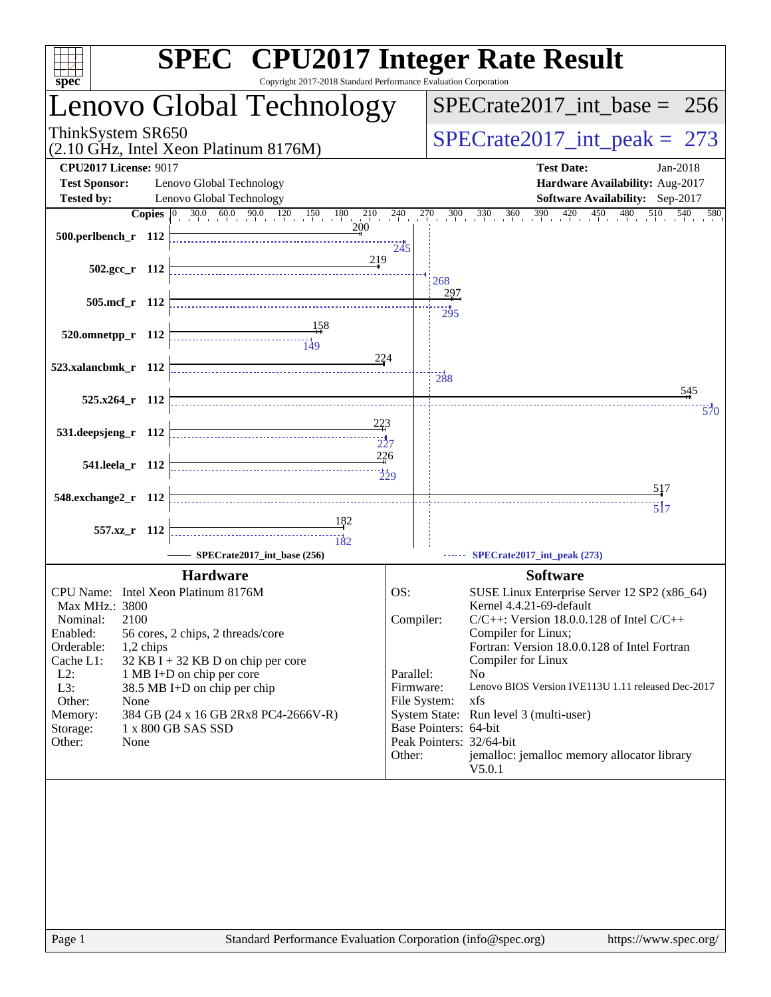| spec <sup>®</sup>                                    | <b>SPEC<sup>®</sup></b> CPU2017 Integer Rate Result<br>Copyright 2017-2018 Standard Performance Evaluation Corporation                                                                                                                                                                                                                                                                                                                                                                    |                 |                                 |                                                                                                                                      |  |  |
|------------------------------------------------------|-------------------------------------------------------------------------------------------------------------------------------------------------------------------------------------------------------------------------------------------------------------------------------------------------------------------------------------------------------------------------------------------------------------------------------------------------------------------------------------------|-----------------|---------------------------------|--------------------------------------------------------------------------------------------------------------------------------------|--|--|
|                                                      | Lenovo Global Technology                                                                                                                                                                                                                                                                                                                                                                                                                                                                  |                 | $SPECrate2017\_int\_base = 256$ |                                                                                                                                      |  |  |
| ThinkSystem SR650                                    | (2.10 GHz, Intel Xeon Platinum 8176M)                                                                                                                                                                                                                                                                                                                                                                                                                                                     |                 | $SPECrate2017\_int\_peak = 273$ |                                                                                                                                      |  |  |
| <b>CPU2017 License: 9017</b><br><b>Test Sponsor:</b> | Lenovo Global Technology                                                                                                                                                                                                                                                                                                                                                                                                                                                                  |                 |                                 | <b>Test Date:</b><br>Jan-2018<br>Hardware Availability: Aug-2017                                                                     |  |  |
| <b>Tested by:</b>                                    | Lenovo Global Technology                                                                                                                                                                                                                                                                                                                                                                                                                                                                  |                 |                                 | Software Availability: Sep-2017                                                                                                      |  |  |
|                                                      | <b>Copies</b> $\begin{bmatrix} 0 & 30.0 & 60.0 & 90.0 & 120 & 150 & 180 & 210 & 240 \end{bmatrix}$                                                                                                                                                                                                                                                                                                                                                                                        |                 | 270                             | $\frac{300}{1}$ $\frac{330}{1}$ $\frac{360}{1}$ $\frac{390}{1}$ $\frac{420}{1}$ $\frac{450}{1}$ $\frac{480}{1}$<br>510<br>540<br>580 |  |  |
| 500.perlbench_r 112                                  |                                                                                                                                                                                                                                                                                                                                                                                                                                                                                           | 245             |                                 |                                                                                                                                      |  |  |
| 502.gcc_r 112                                        | 219                                                                                                                                                                                                                                                                                                                                                                                                                                                                                       |                 | 268                             |                                                                                                                                      |  |  |
| 505.mcf_r 112                                        |                                                                                                                                                                                                                                                                                                                                                                                                                                                                                           |                 | 297<br>$\frac{1}{295}$          |                                                                                                                                      |  |  |
| 520.omnetpp_r 112                                    | $\begin{array}{c}\n\hline\n\hline\n\hline\n\end{array}\n\qquad \qquad \begin{array}{c}\n\hline\n\end{array}\n\qquad\n\begin{array}{c}\n\hline\n\end{array}\n\qquad\n\begin{array}{c}\n\hline\n\end{array}\n\qquad\n\begin{array}{c}\n\hline\n\end{array}\n\qquad\n\begin{array}{c}\n\hline\n\end{array}\n\qquad\n\begin{array}{c}\n\hline\n\end{array}\n\qquad\n\begin{array}{c}\n\hline\n\end{array}\n\qquad\n\begin{array}{c}\n\hline\n\end{array}\n\qquad\n\begin{array}{c}\n\hline\n$ |                 |                                 |                                                                                                                                      |  |  |
| 523.xalancbmk_r 112                                  | 224                                                                                                                                                                                                                                                                                                                                                                                                                                                                                       |                 | 288                             |                                                                                                                                      |  |  |
| 525.x264_r 112                                       |                                                                                                                                                                                                                                                                                                                                                                                                                                                                                           |                 |                                 | 545                                                                                                                                  |  |  |
|                                                      | 223                                                                                                                                                                                                                                                                                                                                                                                                                                                                                       |                 |                                 | $\overline{570}$                                                                                                                     |  |  |
| 531.deepsjeng_r 112                                  | $\frac{1}{227}$                                                                                                                                                                                                                                                                                                                                                                                                                                                                           |                 |                                 |                                                                                                                                      |  |  |
| 541.leela_r 112                                      | 226                                                                                                                                                                                                                                                                                                                                                                                                                                                                                       | $\frac{1}{229}$ |                                 |                                                                                                                                      |  |  |
| 548.exchange2_r 112                                  |                                                                                                                                                                                                                                                                                                                                                                                                                                                                                           |                 |                                 | 517                                                                                                                                  |  |  |
|                                                      | <u>182</u>                                                                                                                                                                                                                                                                                                                                                                                                                                                                                |                 |                                 | $\overline{517}$                                                                                                                     |  |  |
| 557.xz_r 112                                         | 182<br>SPECrate2017 int base (256)                                                                                                                                                                                                                                                                                                                                                                                                                                                        |                 |                                 | SPECrate2017_int_peak (273)                                                                                                          |  |  |
|                                                      | <b>Hardware</b>                                                                                                                                                                                                                                                                                                                                                                                                                                                                           |                 |                                 | <b>Software</b>                                                                                                                      |  |  |
| CPU Name: Intel Xeon Platinum 8176M                  |                                                                                                                                                                                                                                                                                                                                                                                                                                                                                           | OS:             |                                 | SUSE Linux Enterprise Server 12 SP2 (x86_64)                                                                                         |  |  |
| Max MHz.: 3800<br>2100<br>Nominal:                   |                                                                                                                                                                                                                                                                                                                                                                                                                                                                                           | Compiler:       |                                 | Kernel 4.4.21-69-default<br>$C/C++$ : Version 18.0.0.128 of Intel $C/C++$                                                            |  |  |
| Enabled:                                             | 56 cores, 2 chips, 2 threads/core                                                                                                                                                                                                                                                                                                                                                                                                                                                         |                 |                                 | Compiler for Linux;                                                                                                                  |  |  |
| Orderable:<br>1,2 chips<br>Cache L1:                 | $32$ KB I + 32 KB D on chip per core                                                                                                                                                                                                                                                                                                                                                                                                                                                      |                 |                                 | Fortran: Version 18.0.0.128 of Intel Fortran<br>Compiler for Linux                                                                   |  |  |
| $L2$ :                                               | 1 MB I+D on chip per core                                                                                                                                                                                                                                                                                                                                                                                                                                                                 | Parallel:       |                                 | N <sub>0</sub>                                                                                                                       |  |  |
| L3:                                                  | 38.5 MB I+D on chip per chip                                                                                                                                                                                                                                                                                                                                                                                                                                                              | Firmware:       |                                 | Lenovo BIOS Version IVE113U 1.11 released Dec-2017<br>xfs                                                                            |  |  |
| Other:<br>None<br>Memory:                            | 384 GB (24 x 16 GB 2Rx8 PC4-2666V-R)                                                                                                                                                                                                                                                                                                                                                                                                                                                      | File System:    |                                 | System State: Run level 3 (multi-user)                                                                                               |  |  |
| Storage:                                             | 1 x 800 GB SAS SSD                                                                                                                                                                                                                                                                                                                                                                                                                                                                        |                 | Base Pointers: 64-bit           |                                                                                                                                      |  |  |
| Other:<br>None                                       |                                                                                                                                                                                                                                                                                                                                                                                                                                                                                           | Other:          |                                 | Peak Pointers: 32/64-bit<br>jemalloc: jemalloc memory allocator library                                                              |  |  |
|                                                      |                                                                                                                                                                                                                                                                                                                                                                                                                                                                                           |                 |                                 | V5.0.1                                                                                                                               |  |  |
|                                                      |                                                                                                                                                                                                                                                                                                                                                                                                                                                                                           |                 |                                 |                                                                                                                                      |  |  |
|                                                      |                                                                                                                                                                                                                                                                                                                                                                                                                                                                                           |                 |                                 |                                                                                                                                      |  |  |
|                                                      |                                                                                                                                                                                                                                                                                                                                                                                                                                                                                           |                 |                                 |                                                                                                                                      |  |  |
|                                                      |                                                                                                                                                                                                                                                                                                                                                                                                                                                                                           |                 |                                 |                                                                                                                                      |  |  |
|                                                      |                                                                                                                                                                                                                                                                                                                                                                                                                                                                                           |                 |                                 |                                                                                                                                      |  |  |
|                                                      |                                                                                                                                                                                                                                                                                                                                                                                                                                                                                           |                 |                                 |                                                                                                                                      |  |  |
|                                                      |                                                                                                                                                                                                                                                                                                                                                                                                                                                                                           |                 |                                 |                                                                                                                                      |  |  |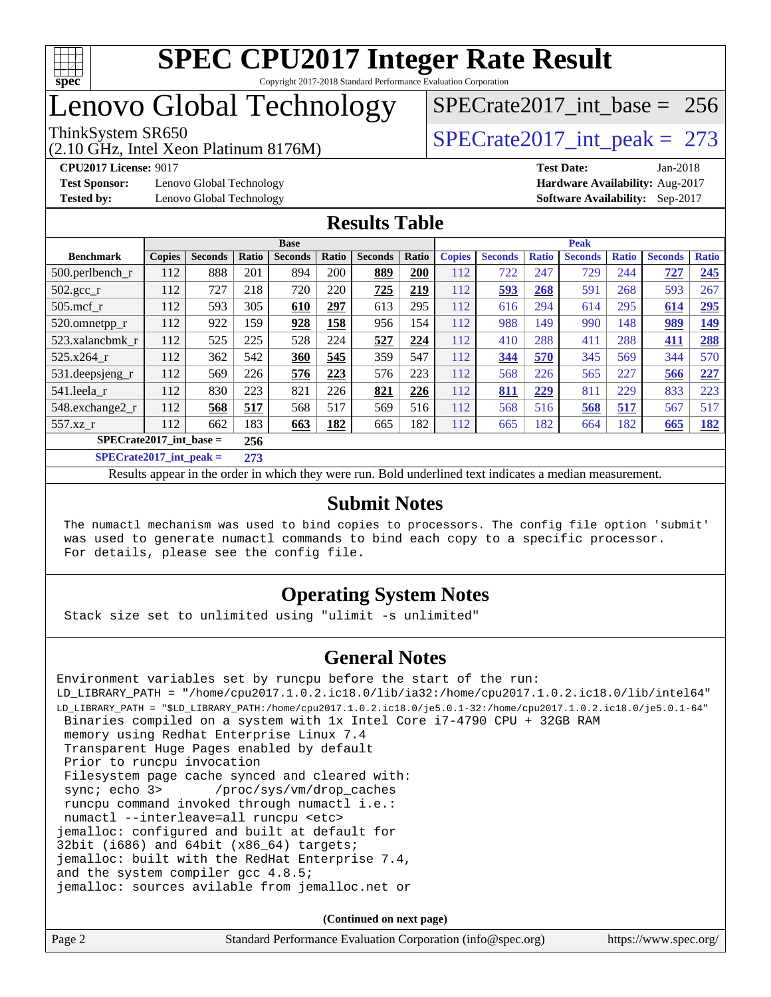

### Lenovo Global Technology

(2.10 GHz, Intel Xeon Platinum 8176M)

**[Test Sponsor:](http://www.spec.org/auto/cpu2017/Docs/result-fields.html#TestSponsor)** Lenovo Global Technology **[Hardware Availability:](http://www.spec.org/auto/cpu2017/Docs/result-fields.html#HardwareAvailability)** Aug-2017

[SPECrate2017\\_int\\_base =](http://www.spec.org/auto/cpu2017/Docs/result-fields.html#SPECrate2017intbase) 256

ThinkSystem SR650<br>  $(2.10 \text{ GHz. Intel Yoon Plotinum } 8176M)$  [SPECrate2017\\_int\\_peak =](http://www.spec.org/auto/cpu2017/Docs/result-fields.html#SPECrate2017intpeak) 273

**[CPU2017 License:](http://www.spec.org/auto/cpu2017/Docs/result-fields.html#CPU2017License)** 9017 **[Test Date:](http://www.spec.org/auto/cpu2017/Docs/result-fields.html#TestDate)** Jan-2018 **[Tested by:](http://www.spec.org/auto/cpu2017/Docs/result-fields.html#Testedby)** Lenovo Global Technology **[Software Availability:](http://www.spec.org/auto/cpu2017/Docs/result-fields.html#SoftwareAvailability)** Sep-2017

#### **[Results Table](http://www.spec.org/auto/cpu2017/Docs/result-fields.html#ResultsTable)**

|                             | <b>Base</b>   |                |         |                | <b>Peak</b> |                |       |               |                |              |                |              |                |              |
|-----------------------------|---------------|----------------|---------|----------------|-------------|----------------|-------|---------------|----------------|--------------|----------------|--------------|----------------|--------------|
| <b>Benchmark</b>            | <b>Copies</b> | <b>Seconds</b> | Ratio   | <b>Seconds</b> | Ratio       | <b>Seconds</b> | Ratio | <b>Copies</b> | <b>Seconds</b> | <b>Ratio</b> | <b>Seconds</b> | <b>Ratio</b> | <b>Seconds</b> | <b>Ratio</b> |
| $500.$ perlbench_r          | 112           | 888            | 201     | 894            | 200         | 889            | 200   | 112           | 722            | 247          | 729            | 244          | 727            | 245          |
| $502.\text{gcc}$ _r         | 112           | 727            | 218     | 720            | 220         | 725            | 219   | 112           | 593            | 268          | 591            | 268          | 593            | 267          |
| $505$ .mcf r                | 112           | 593            | 305     | 610            | 297         | 613            | 295   | 112           | 616            | 294          | 614            | 295          | 614            | 295          |
| 520.omnetpp_r               | 112           | 922            | 159     | 928            | 158         | 956            | 154   | 112           | 988            | 149          | 990            | 148          | 989            | <u>149</u>   |
| 523.xalancbmk_r             | 112           | 525            | 225     | 528            | 224         | 527            | 224   | 112           | 410            | 288          | 411            | 288          | 411            | 288          |
| 525.x264 r                  | 112           | 362            | 542     | 360            | 545         | 359            | 547   | 112           | 344            | 570          | 345            | 569          | 344            | 570          |
| 531.deepsjeng_r             | 112           | 569            | 226     | 576            | 223         | 576            | 223   | 112           | 568            | 226          | 565            | 227          | 566            | 227          |
| 541.leela r                 | 112           | 830            | 223     | 821            | 226         | 821            | 226   | 112           | 811            | 229          | 811            | 229          | 833            | 223          |
| 548.exchange2_r             | 112           | 568            | 517     | 568            | 517         | 569            | 516   | 112           | 568            | 516          | 568            | 517          | 567            | 517          |
| 557.xz r                    | 112           | 662            | 183     | 663            | 182         | 665            | 182   | 112           | 665            | 182          | 664            | 182          | 665            | <u>182</u>   |
| $SPECrate2017\_int\_base =$ |               |                | 256     |                |             |                |       |               |                |              |                |              |                |              |
| $CDDCD = 1.4047 + 1.1$      |               |                | $A = A$ |                |             |                |       |               |                |              |                |              |                |              |

**[SPECrate2017\\_int\\_peak =](http://www.spec.org/auto/cpu2017/Docs/result-fields.html#SPECrate2017intpeak) 273**

Results appear in the [order in which they were run](http://www.spec.org/auto/cpu2017/Docs/result-fields.html#RunOrder). Bold underlined text [indicates a median measurement](http://www.spec.org/auto/cpu2017/Docs/result-fields.html#Median).

#### **[Submit Notes](http://www.spec.org/auto/cpu2017/Docs/result-fields.html#SubmitNotes)**

 The numactl mechanism was used to bind copies to processors. The config file option 'submit' was used to generate numactl commands to bind each copy to a specific processor. For details, please see the config file.

### **[Operating System Notes](http://www.spec.org/auto/cpu2017/Docs/result-fields.html#OperatingSystemNotes)**

Stack size set to unlimited using "ulimit -s unlimited"

#### **[General Notes](http://www.spec.org/auto/cpu2017/Docs/result-fields.html#GeneralNotes)**

Environment variables set by runcpu before the start of the run: LD\_LIBRARY\_PATH = "/home/cpu2017.1.0.2.ic18.0/lib/ia32:/home/cpu2017.1.0.2.ic18.0/lib/intel64" LD\_LIBRARY\_PATH = "\$LD\_LIBRARY\_PATH:/home/cpu2017.1.0.2.ic18.0/je5.0.1-32:/home/cpu2017.1.0.2.ic18.0/je5.0.1-64" Binaries compiled on a system with 1x Intel Core i7-4790 CPU + 32GB RAM memory using Redhat Enterprise Linux 7.4 Transparent Huge Pages enabled by default Prior to runcpu invocation Filesystem page cache synced and cleared with: sync; echo 3> /proc/sys/vm/drop\_caches runcpu command invoked through numactl i.e.: numactl --interleave=all runcpu <etc> jemalloc: configured and built at default for 32bit (i686) and 64bit (x86\_64) targets; jemalloc: built with the RedHat Enterprise 7.4, and the system compiler gcc 4.8.5; jemalloc: sources avilable from jemalloc.net or

**(Continued on next page)**

| Page 2 | Standard Performance Evaluation Corporation (info@spec.org) | https://www.spec.org/ |
|--------|-------------------------------------------------------------|-----------------------|
|        |                                                             |                       |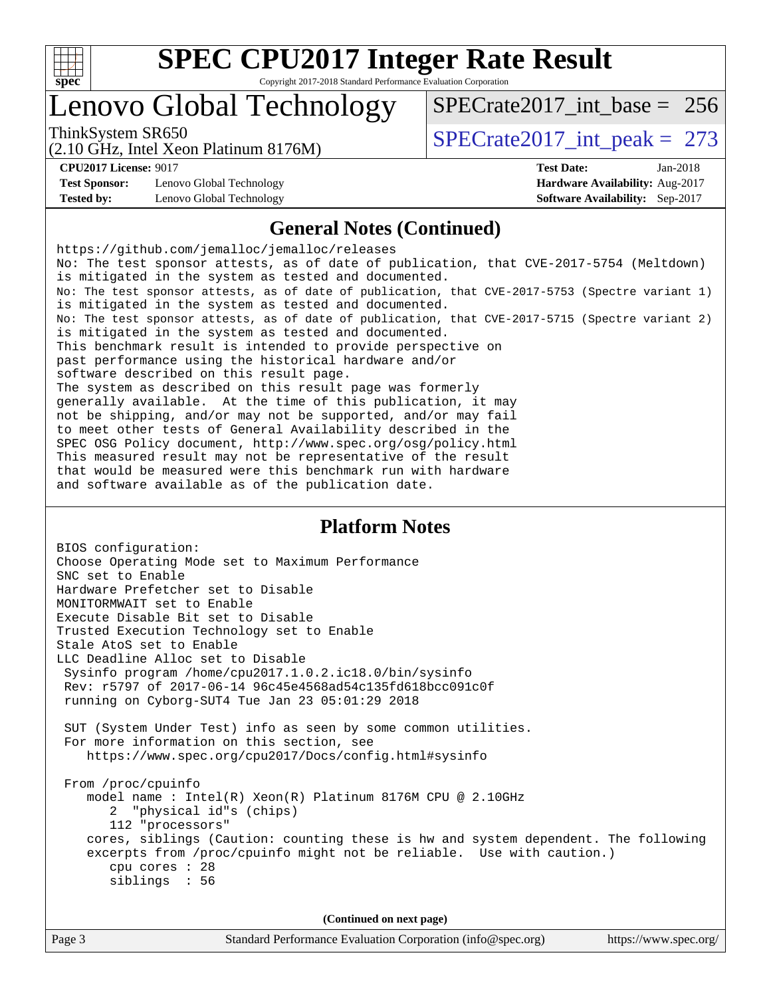

# **[SPEC CPU2017 Integer Rate Result](http://www.spec.org/auto/cpu2017/Docs/result-fields.html#SPECCPU2017IntegerRateResult)**

Copyright 2017-2018 Standard Performance Evaluation Corporation

### Lenovo Global Technology

ThinkSystem SR650<br>  $(2.10 \text{ GHz. Intel Yoon Plotinum } 8176M)$  [SPECrate2017\\_int\\_peak =](http://www.spec.org/auto/cpu2017/Docs/result-fields.html#SPECrate2017intpeak) 273

[SPECrate2017\\_int\\_base =](http://www.spec.org/auto/cpu2017/Docs/result-fields.html#SPECrate2017intbase) 256

(2.10 GHz, Intel Xeon Platinum 8176M)

**[Test Sponsor:](http://www.spec.org/auto/cpu2017/Docs/result-fields.html#TestSponsor)** Lenovo Global Technology **[Hardware Availability:](http://www.spec.org/auto/cpu2017/Docs/result-fields.html#HardwareAvailability)** Aug-2017 **[Tested by:](http://www.spec.org/auto/cpu2017/Docs/result-fields.html#Testedby)** Lenovo Global Technology **[Software Availability:](http://www.spec.org/auto/cpu2017/Docs/result-fields.html#SoftwareAvailability)** Sep-2017

**[CPU2017 License:](http://www.spec.org/auto/cpu2017/Docs/result-fields.html#CPU2017License)** 9017 **[Test Date:](http://www.spec.org/auto/cpu2017/Docs/result-fields.html#TestDate)** Jan-2018

#### **[General Notes \(Continued\)](http://www.spec.org/auto/cpu2017/Docs/result-fields.html#GeneralNotes)**

<https://github.com/jemalloc/jemalloc/releases> No: The test sponsor attests, as of date of publication, that CVE-2017-5754 (Meltdown) is mitigated in the system as tested and documented. No: The test sponsor attests, as of date of publication, that CVE-2017-5753 (Spectre variant 1) is mitigated in the system as tested and documented. No: The test sponsor attests, as of date of publication, that CVE-2017-5715 (Spectre variant 2) is mitigated in the system as tested and documented. This benchmark result is intended to provide perspective on past performance using the historical hardware and/or software described on this result page. The system as described on this result page was formerly generally available. At the time of this publication, it may not be shipping, and/or may not be supported, and/or may fail to meet other tests of General Availability described in the SPEC OSG Policy document, <http://www.spec.org/osg/policy.html> This measured result may not be representative of the result that would be measured were this benchmark run with hardware and software available as of the publication date.

#### **[Platform Notes](http://www.spec.org/auto/cpu2017/Docs/result-fields.html#PlatformNotes)**

BIOS configuration: Choose Operating Mode set to Maximum Performance SNC set to Enable Hardware Prefetcher set to Disable MONITORMWAIT set to Enable Execute Disable Bit set to Disable Trusted Execution Technology set to Enable Stale AtoS set to Enable LLC Deadline Alloc set to Disable Sysinfo program /home/cpu2017.1.0.2.ic18.0/bin/sysinfo Rev: r5797 of 2017-06-14 96c45e4568ad54c135fd618bcc091c0f running on Cyborg-SUT4 Tue Jan 23 05:01:29 2018 SUT (System Under Test) info as seen by some common utilities. For more information on this section, see <https://www.spec.org/cpu2017/Docs/config.html#sysinfo> From /proc/cpuinfo model name : Intel(R) Xeon(R) Platinum 8176M CPU @ 2.10GHz 2 "physical id"s (chips) 112 "processors" cores, siblings (Caution: counting these is hw and system dependent. The following excerpts from /proc/cpuinfo might not be reliable. Use with caution.) cpu cores : 28 siblings : 56 **(Continued on next page)**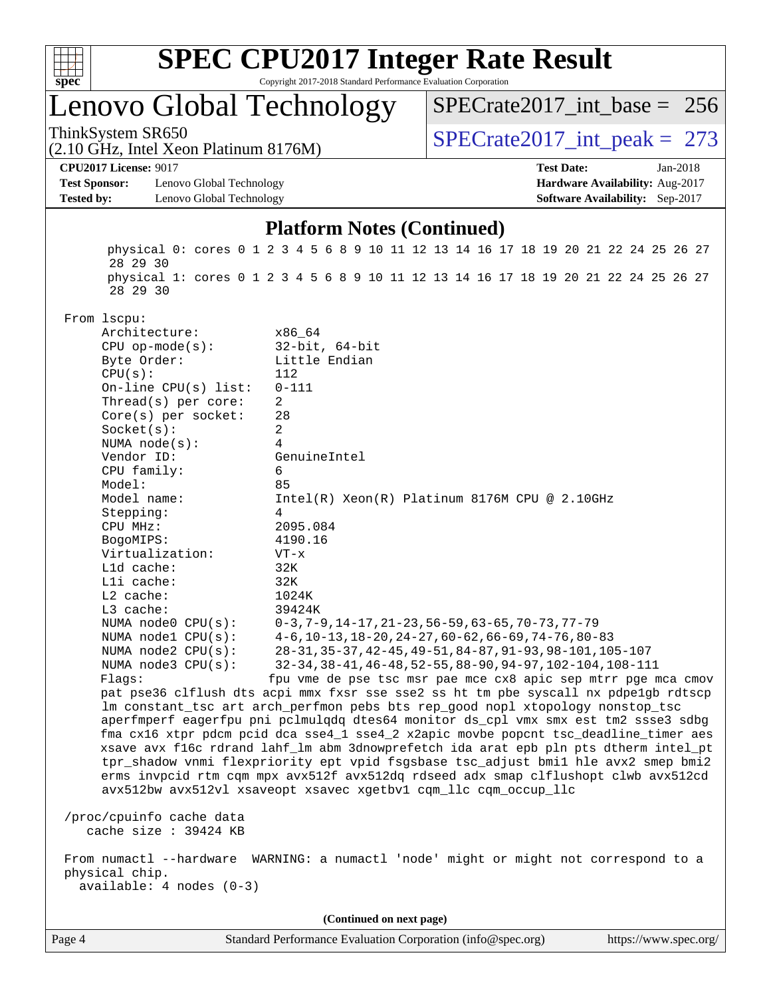

### Lenovo Global Technology

ThinkSystem SR650<br>  $\angle (2.10 \text{ GHz. Intel Yoon Plutium } 8176M)$   $\angle$  [SPECrate2017\\_int\\_peak =](http://www.spec.org/auto/cpu2017/Docs/result-fields.html#SPECrate2017intpeak) 273  $SPECrate2017\_int\_base = 256$ 

(2.10 GHz, Intel Xeon Platinum 8176M)

**[Test Sponsor:](http://www.spec.org/auto/cpu2017/Docs/result-fields.html#TestSponsor)** Lenovo Global Technology **[Hardware Availability:](http://www.spec.org/auto/cpu2017/Docs/result-fields.html#HardwareAvailability)** Aug-2017 **[Tested by:](http://www.spec.org/auto/cpu2017/Docs/result-fields.html#Testedby)** Lenovo Global Technology **[Software Availability:](http://www.spec.org/auto/cpu2017/Docs/result-fields.html#SoftwareAvailability)** Sep-2017

**[CPU2017 License:](http://www.spec.org/auto/cpu2017/Docs/result-fields.html#CPU2017License)** 9017 **[Test Date:](http://www.spec.org/auto/cpu2017/Docs/result-fields.html#TestDate)** Jan-2018

#### **[Platform Notes \(Continued\)](http://www.spec.org/auto/cpu2017/Docs/result-fields.html#PlatformNotes)**

 physical 0: cores 0 1 2 3 4 5 6 8 9 10 11 12 13 14 16 17 18 19 20 21 22 24 25 26 27 28 29 30 physical 1: cores 0 1 2 3 4 5 6 8 9 10 11 12 13 14 16 17 18 19 20 21 22 24 25 26 27 28 29 30 From lscpu: Architecture: x86\_64 CPU op-mode(s): 32-bit, 64-bit Byte Order: Little Endian CPU(s): 112 On-line CPU(s) list: 0-111 Thread(s) per core: 2 Core(s) per socket: 28 Socket(s): 2 NUMA node(s): 4 Vendor ID: GenuineIntel CPU family: 6 Model: 85 Model name: Intel(R) Xeon(R) Platinum 8176M CPU @ 2.10GHz Stepping: 4 CPU MHz: 2095.084 BogoMIPS: 4190.16 Virtualization: VT-x L1d cache: 32K L1i cache: 32K L2 cache: 1024K L3 cache: 39424K NUMA node0 CPU(s): 0-3,7-9,14-17,21-23,56-59,63-65,70-73,77-79 NUMA node1 CPU(s): 4-6,10-13,18-20,24-27,60-62,66-69,74-76,80-83 NUMA node2 CPU(s): 28-31,35-37,42-45,49-51,84-87,91-93,98-101,105-107 NUMA node3 CPU(s): 32-34,38-41,46-48,52-55,88-90,94-97,102-104,108-111 Flags: fpu vme de pse tsc msr pae mce cx8 apic sep mtrr pge mca cmov pat pse36 clflush dts acpi mmx fxsr sse sse2 ss ht tm pbe syscall nx pdpe1gb rdtscp lm constant\_tsc art arch\_perfmon pebs bts rep\_good nopl xtopology nonstop\_tsc aperfmperf eagerfpu pni pclmulqdq dtes64 monitor ds\_cpl vmx smx est tm2 ssse3 sdbg fma cx16 xtpr pdcm pcid dca sse4\_1 sse4\_2 x2apic movbe popcnt tsc\_deadline\_timer aes xsave avx f16c rdrand lahf\_lm abm 3dnowprefetch ida arat epb pln pts dtherm intel\_pt tpr\_shadow vnmi flexpriority ept vpid fsgsbase tsc\_adjust bmi1 hle avx2 smep bmi2 erms invpcid rtm cqm mpx avx512f avx512dq rdseed adx smap clflushopt clwb avx512cd avx512bw avx512vl xsaveopt xsavec xgetbv1 cqm\_llc cqm\_occup\_llc /proc/cpuinfo cache data cache size : 39424 KB From numactl --hardware WARNING: a numactl 'node' might or might not correspond to a physical chip. available: 4 nodes (0-3) **(Continued on next page)**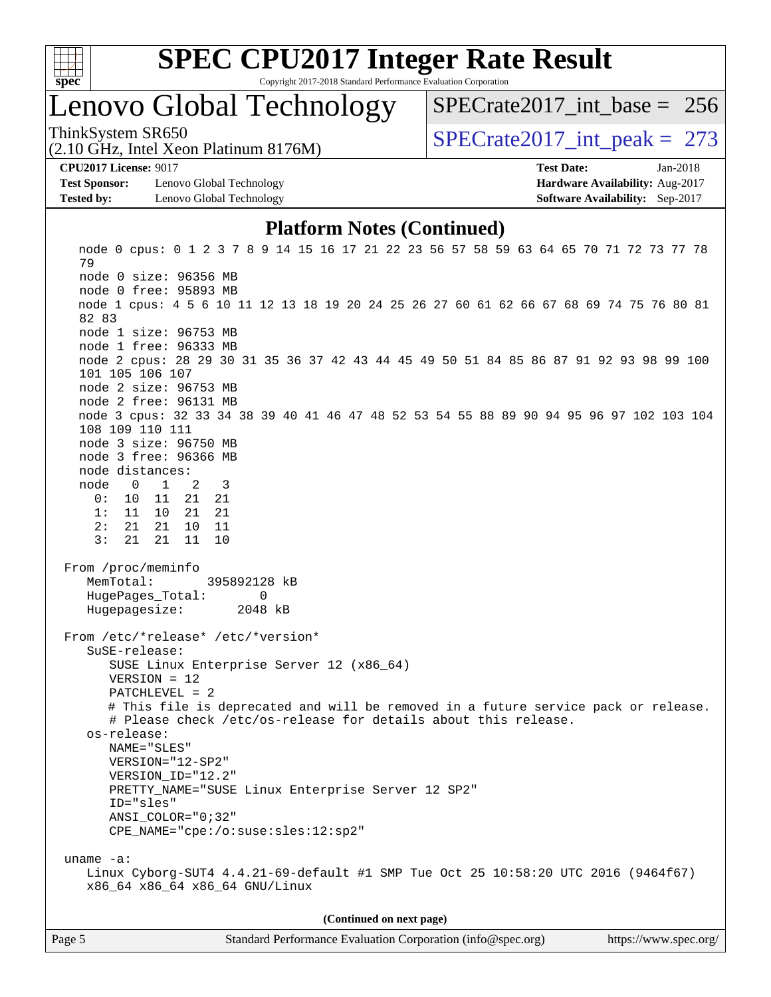

# **[SPEC CPU2017 Integer Rate Result](http://www.spec.org/auto/cpu2017/Docs/result-fields.html#SPECCPU2017IntegerRateResult)**

Copyright 2017-2018 Standard Performance Evaluation Corporation

### Lenovo Global Technology

ThinkSystem SR650<br>  $(2.10 \text{ GHz. Intel Yoon Plotinum } 8176M)$  [SPECrate2017\\_int\\_peak =](http://www.spec.org/auto/cpu2017/Docs/result-fields.html#SPECrate2017intpeak) 273 [SPECrate2017\\_int\\_base =](http://www.spec.org/auto/cpu2017/Docs/result-fields.html#SPECrate2017intbase) 256

(2.10 GHz, Intel Xeon Platinum 8176M)

**[Test Sponsor:](http://www.spec.org/auto/cpu2017/Docs/result-fields.html#TestSponsor)** Lenovo Global Technology **[Hardware Availability:](http://www.spec.org/auto/cpu2017/Docs/result-fields.html#HardwareAvailability)** Aug-2017 **[Tested by:](http://www.spec.org/auto/cpu2017/Docs/result-fields.html#Testedby)** Lenovo Global Technology **[Software Availability:](http://www.spec.org/auto/cpu2017/Docs/result-fields.html#SoftwareAvailability)** Sep-2017

**[CPU2017 License:](http://www.spec.org/auto/cpu2017/Docs/result-fields.html#CPU2017License)** 9017 **[Test Date:](http://www.spec.org/auto/cpu2017/Docs/result-fields.html#TestDate)** Jan-2018

#### **[Platform Notes \(Continued\)](http://www.spec.org/auto/cpu2017/Docs/result-fields.html#PlatformNotes)**

 node 0 cpus: 0 1 2 3 7 8 9 14 15 16 17 21 22 23 56 57 58 59 63 64 65 70 71 72 73 77 78 79 node 0 size: 96356 MB node 0 free: 95893 MB node 1 cpus: 4 5 6 10 11 12 13 18 19 20 24 25 26 27 60 61 62 66 67 68 69 74 75 76 80 81 82 83 node 1 size: 96753 MB node 1 free: 96333 MB node 2 cpus: 28 29 30 31 35 36 37 42 43 44 45 49 50 51 84 85 86 87 91 92 93 98 99 100 101 105 106 107 node 2 size: 96753 MB node 2 free: 96131 MB node 3 cpus: 32 33 34 38 39 40 41 46 47 48 52 53 54 55 88 89 90 94 95 96 97 102 103 104 108 109 110 111 node 3 size: 96750 MB node 3 free: 96366 MB node distances: node 0 1 2 3 0: 10 11 21 21 1: 11 10 21 21 2: 21 21 10 11 3: 21 21 11 10 From /proc/meminfo MemTotal: 395892128 kB HugePages\_Total: 0 Hugepagesize: 2048 kB From /etc/\*release\* /etc/\*version\* SuSE-release: SUSE Linux Enterprise Server 12 (x86\_64) VERSION = 12 PATCHLEVEL = 2 # This file is deprecated and will be removed in a future service pack or release. # Please check /etc/os-release for details about this release. os-release: NAME="SLES" VERSION="12-SP2" VERSION\_ID="12.2" PRETTY\_NAME="SUSE Linux Enterprise Server 12 SP2" ID="sles" ANSI\_COLOR="0;32" CPE\_NAME="cpe:/o:suse:sles:12:sp2" uname -a: Linux Cyborg-SUT4 4.4.21-69-default #1 SMP Tue Oct 25 10:58:20 UTC 2016 (9464f67) x86\_64 x86\_64 x86\_64 GNU/Linux **(Continued on next page)**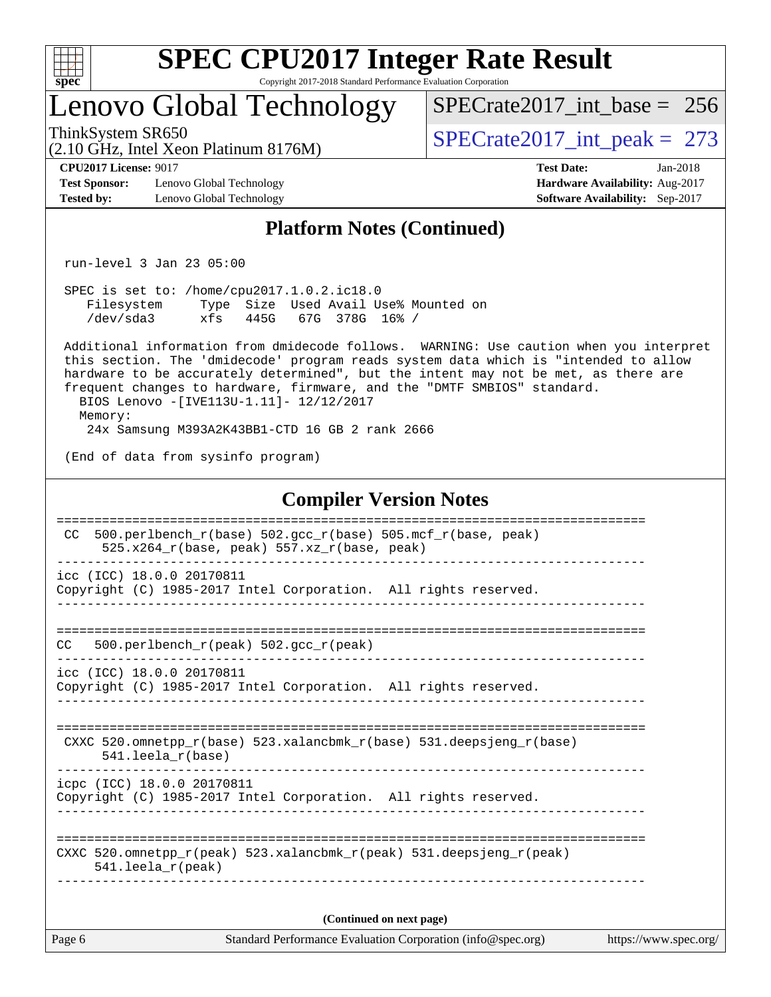

### Lenovo Global Technology

ThinkSystem SR650<br>(2.10 GHz, Intel Xeon Platinum 8176M)  $SPECrate2017\_int\_peak = 273$ [SPECrate2017\\_int\\_base =](http://www.spec.org/auto/cpu2017/Docs/result-fields.html#SPECrate2017intbase) 256

(2.10 GHz, Intel Xeon Platinum 8176M)

**[Test Sponsor:](http://www.spec.org/auto/cpu2017/Docs/result-fields.html#TestSponsor)** Lenovo Global Technology **[Hardware Availability:](http://www.spec.org/auto/cpu2017/Docs/result-fields.html#HardwareAvailability)** Aug-2017 **[Tested by:](http://www.spec.org/auto/cpu2017/Docs/result-fields.html#Testedby)** Lenovo Global Technology **[Software Availability:](http://www.spec.org/auto/cpu2017/Docs/result-fields.html#SoftwareAvailability)** Sep-2017

**[CPU2017 License:](http://www.spec.org/auto/cpu2017/Docs/result-fields.html#CPU2017License)** 9017 **[Test Date:](http://www.spec.org/auto/cpu2017/Docs/result-fields.html#TestDate)** Jan-2018

#### **[Platform Notes \(Continued\)](http://www.spec.org/auto/cpu2017/Docs/result-fields.html#PlatformNotes)**

run-level 3 Jan 23 05:00

 SPEC is set to: /home/cpu2017.1.0.2.ic18.0 Filesystem Type Size Used Avail Use% Mounted on /dev/sda3 xfs 445G 67G 378G 16% /

 Additional information from dmidecode follows. WARNING: Use caution when you interpret this section. The 'dmidecode' program reads system data which is "intended to allow hardware to be accurately determined", but the intent may not be met, as there are frequent changes to hardware, firmware, and the "DMTF SMBIOS" standard. BIOS Lenovo -[IVE113U-1.11]- 12/12/2017 Memory:

24x Samsung M393A2K43BB1-CTD 16 GB 2 rank 2666

(End of data from sysinfo program)

#### **[Compiler Version Notes](http://www.spec.org/auto/cpu2017/Docs/result-fields.html#CompilerVersionNotes)**

| CC.    | 500.perlbench $r(base)$ 502.qcc $r(base)$ 505.mcf $r(base, peak)$<br>$525.x264_r(base, peak) 557.xz_r(base, peak)$                                     |
|--------|--------------------------------------------------------------------------------------------------------------------------------------------------------|
|        | icc (ICC) 18.0.0 20170811<br>Copyright (C) 1985-2017 Intel Corporation. All rights reserved.                                                           |
| CC.    | 500.perlbench $r(\text{peak})$ 502.gcc $r(\text{peak})$<br>------------------------------------                                                        |
|        | icc (ICC) 18.0.0 20170811<br>Copyright (C) 1985-2017 Intel Corporation. All rights reserved.                                                           |
|        | CXXC 520.omnetpp $r(base)$ 523.xalancbmk $r(base)$ 531.deepsjeng $r(base)$<br>$541.$ leela $r(base)$                                                   |
|        | icpc (ICC) 18.0.0 20170811<br>Copyright (C) 1985-2017 Intel Corporation. All rights reserved.                                                          |
|        | ---------------------------<br>CXXC 520.omnetpp $r(\text{peak})$ 523.xalancbmk $r(\text{peak})$ 531.deepsjeng $r(\text{peak})$<br>$541.$ leela_r(peak) |
|        | (Continued on next page)                                                                                                                               |
| Page 6 | Standard Performance Evaluation Corporation (info@spec.org)<br>https://www.spec.org/                                                                   |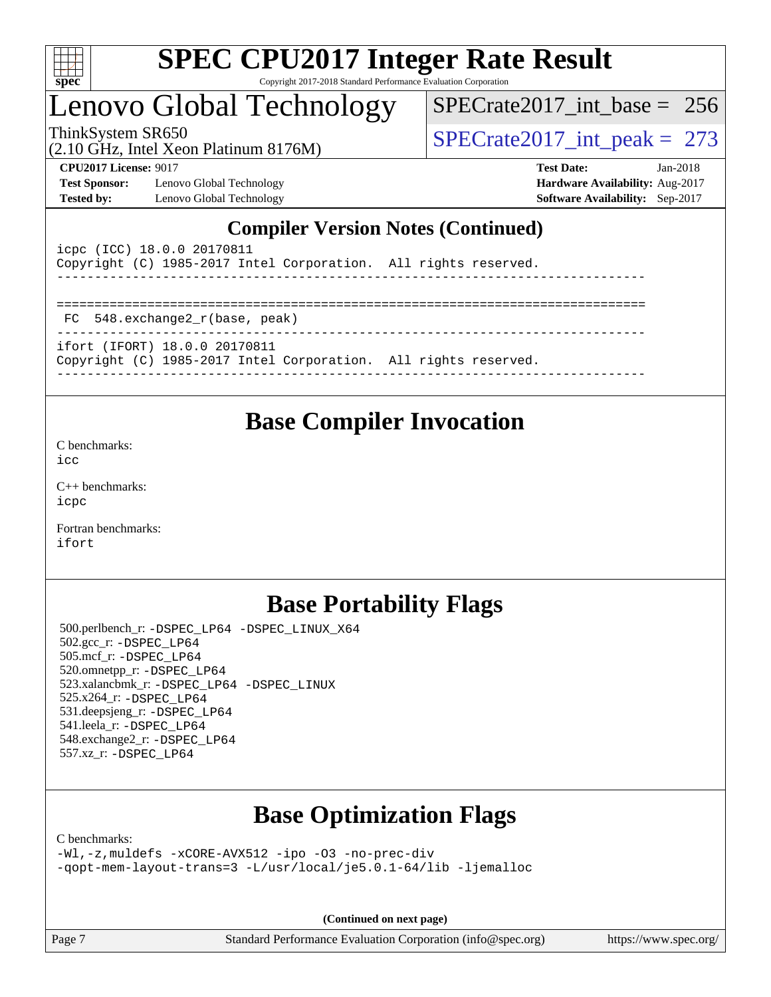

### Lenovo Global Technology

ThinkSystem SR650<br>(2.10 GHz, Intel Xeon Platinum 8176M)  $SPECrate2017\_int\_peak = 273$ [SPECrate2017\\_int\\_base =](http://www.spec.org/auto/cpu2017/Docs/result-fields.html#SPECrate2017intbase) 256

(2.10 GHz, Intel Xeon Platinum 8176M)

**[Test Sponsor:](http://www.spec.org/auto/cpu2017/Docs/result-fields.html#TestSponsor)** Lenovo Global Technology **[Hardware Availability:](http://www.spec.org/auto/cpu2017/Docs/result-fields.html#HardwareAvailability)** Aug-2017 **[Tested by:](http://www.spec.org/auto/cpu2017/Docs/result-fields.html#Testedby)** Lenovo Global Technology **[Software Availability:](http://www.spec.org/auto/cpu2017/Docs/result-fields.html#SoftwareAvailability)** Sep-2017

**[CPU2017 License:](http://www.spec.org/auto/cpu2017/Docs/result-fields.html#CPU2017License)** 9017 **[Test Date:](http://www.spec.org/auto/cpu2017/Docs/result-fields.html#TestDate)** Jan-2018

#### **[Compiler Version Notes \(Continued\)](http://www.spec.org/auto/cpu2017/Docs/result-fields.html#CompilerVersionNotes)**

| icpc (ICC) 18.0.0 20170811<br>Copyright (C) 1985-2017 Intel Corporation. All rights reserved.    |  |  |  |  |  |  |  |
|--------------------------------------------------------------------------------------------------|--|--|--|--|--|--|--|
|                                                                                                  |  |  |  |  |  |  |  |
| FC 548.exchange2 r(base, peak)                                                                   |  |  |  |  |  |  |  |
| ifort (IFORT) 18.0.0 20170811<br>Copyright (C) 1985-2017 Intel Corporation. All rights reserved. |  |  |  |  |  |  |  |

### **[Base Compiler Invocation](http://www.spec.org/auto/cpu2017/Docs/result-fields.html#BaseCompilerInvocation)**

[C benchmarks](http://www.spec.org/auto/cpu2017/Docs/result-fields.html#Cbenchmarks):

[icc](http://www.spec.org/cpu2017/results/res2018q1/cpu2017-20180205-03172.flags.html#user_CCbase_intel_icc_18.0_66fc1ee009f7361af1fbd72ca7dcefbb700085f36577c54f309893dd4ec40d12360134090235512931783d35fd58c0460139e722d5067c5574d8eaf2b3e37e92)

[C++ benchmarks:](http://www.spec.org/auto/cpu2017/Docs/result-fields.html#CXXbenchmarks) [icpc](http://www.spec.org/cpu2017/results/res2018q1/cpu2017-20180205-03172.flags.html#user_CXXbase_intel_icpc_18.0_c510b6838c7f56d33e37e94d029a35b4a7bccf4766a728ee175e80a419847e808290a9b78be685c44ab727ea267ec2f070ec5dc83b407c0218cded6866a35d07)

[Fortran benchmarks](http://www.spec.org/auto/cpu2017/Docs/result-fields.html#Fortranbenchmarks): [ifort](http://www.spec.org/cpu2017/results/res2018q1/cpu2017-20180205-03172.flags.html#user_FCbase_intel_ifort_18.0_8111460550e3ca792625aed983ce982f94888b8b503583aa7ba2b8303487b4d8a21a13e7191a45c5fd58ff318f48f9492884d4413fa793fd88dd292cad7027ca)

### **[Base Portability Flags](http://www.spec.org/auto/cpu2017/Docs/result-fields.html#BasePortabilityFlags)**

 500.perlbench\_r: [-DSPEC\\_LP64](http://www.spec.org/cpu2017/results/res2018q1/cpu2017-20180205-03172.flags.html#b500.perlbench_r_basePORTABILITY_DSPEC_LP64) [-DSPEC\\_LINUX\\_X64](http://www.spec.org/cpu2017/results/res2018q1/cpu2017-20180205-03172.flags.html#b500.perlbench_r_baseCPORTABILITY_DSPEC_LINUX_X64) 502.gcc\_r: [-DSPEC\\_LP64](http://www.spec.org/cpu2017/results/res2018q1/cpu2017-20180205-03172.flags.html#suite_basePORTABILITY502_gcc_r_DSPEC_LP64) 505.mcf\_r: [-DSPEC\\_LP64](http://www.spec.org/cpu2017/results/res2018q1/cpu2017-20180205-03172.flags.html#suite_basePORTABILITY505_mcf_r_DSPEC_LP64) 520.omnetpp\_r: [-DSPEC\\_LP64](http://www.spec.org/cpu2017/results/res2018q1/cpu2017-20180205-03172.flags.html#suite_basePORTABILITY520_omnetpp_r_DSPEC_LP64) 523.xalancbmk\_r: [-DSPEC\\_LP64](http://www.spec.org/cpu2017/results/res2018q1/cpu2017-20180205-03172.flags.html#suite_basePORTABILITY523_xalancbmk_r_DSPEC_LP64) [-DSPEC\\_LINUX](http://www.spec.org/cpu2017/results/res2018q1/cpu2017-20180205-03172.flags.html#b523.xalancbmk_r_baseCXXPORTABILITY_DSPEC_LINUX) 525.x264\_r: [-DSPEC\\_LP64](http://www.spec.org/cpu2017/results/res2018q1/cpu2017-20180205-03172.flags.html#suite_basePORTABILITY525_x264_r_DSPEC_LP64) 531.deepsjeng\_r: [-DSPEC\\_LP64](http://www.spec.org/cpu2017/results/res2018q1/cpu2017-20180205-03172.flags.html#suite_basePORTABILITY531_deepsjeng_r_DSPEC_LP64) 541.leela\_r: [-DSPEC\\_LP64](http://www.spec.org/cpu2017/results/res2018q1/cpu2017-20180205-03172.flags.html#suite_basePORTABILITY541_leela_r_DSPEC_LP64) 548.exchange2\_r: [-DSPEC\\_LP64](http://www.spec.org/cpu2017/results/res2018q1/cpu2017-20180205-03172.flags.html#suite_basePORTABILITY548_exchange2_r_DSPEC_LP64) 557.xz\_r: [-DSPEC\\_LP64](http://www.spec.org/cpu2017/results/res2018q1/cpu2017-20180205-03172.flags.html#suite_basePORTABILITY557_xz_r_DSPEC_LP64)

### **[Base Optimization Flags](http://www.spec.org/auto/cpu2017/Docs/result-fields.html#BaseOptimizationFlags)**

[C benchmarks](http://www.spec.org/auto/cpu2017/Docs/result-fields.html#Cbenchmarks):

[-Wl,-z,muldefs](http://www.spec.org/cpu2017/results/res2018q1/cpu2017-20180205-03172.flags.html#user_CCbase_link_force_multiple1_b4cbdb97b34bdee9ceefcfe54f4c8ea74255f0b02a4b23e853cdb0e18eb4525ac79b5a88067c842dd0ee6996c24547a27a4b99331201badda8798ef8a743f577) [-xCORE-AVX512](http://www.spec.org/cpu2017/results/res2018q1/cpu2017-20180205-03172.flags.html#user_CCbase_f-xCORE-AVX512) [-ipo](http://www.spec.org/cpu2017/results/res2018q1/cpu2017-20180205-03172.flags.html#user_CCbase_f-ipo) [-O3](http://www.spec.org/cpu2017/results/res2018q1/cpu2017-20180205-03172.flags.html#user_CCbase_f-O3) [-no-prec-div](http://www.spec.org/cpu2017/results/res2018q1/cpu2017-20180205-03172.flags.html#user_CCbase_f-no-prec-div) [-qopt-mem-layout-trans=3](http://www.spec.org/cpu2017/results/res2018q1/cpu2017-20180205-03172.flags.html#user_CCbase_f-qopt-mem-layout-trans_de80db37974c74b1f0e20d883f0b675c88c3b01e9d123adea9b28688d64333345fb62bc4a798493513fdb68f60282f9a726aa07f478b2f7113531aecce732043) [-L/usr/local/je5.0.1-64/lib](http://www.spec.org/cpu2017/results/res2018q1/cpu2017-20180205-03172.flags.html#user_CCbase_jemalloc_link_path64_4b10a636b7bce113509b17f3bd0d6226c5fb2346b9178c2d0232c14f04ab830f976640479e5c33dc2bcbbdad86ecfb6634cbbd4418746f06f368b512fced5394) [-ljemalloc](http://www.spec.org/cpu2017/results/res2018q1/cpu2017-20180205-03172.flags.html#user_CCbase_jemalloc_link_lib_d1249b907c500fa1c0672f44f562e3d0f79738ae9e3c4a9c376d49f265a04b9c99b167ecedbf6711b3085be911c67ff61f150a17b3472be731631ba4d0471706)

**(Continued on next page)**

Page 7 Standard Performance Evaluation Corporation [\(info@spec.org\)](mailto:info@spec.org) <https://www.spec.org/>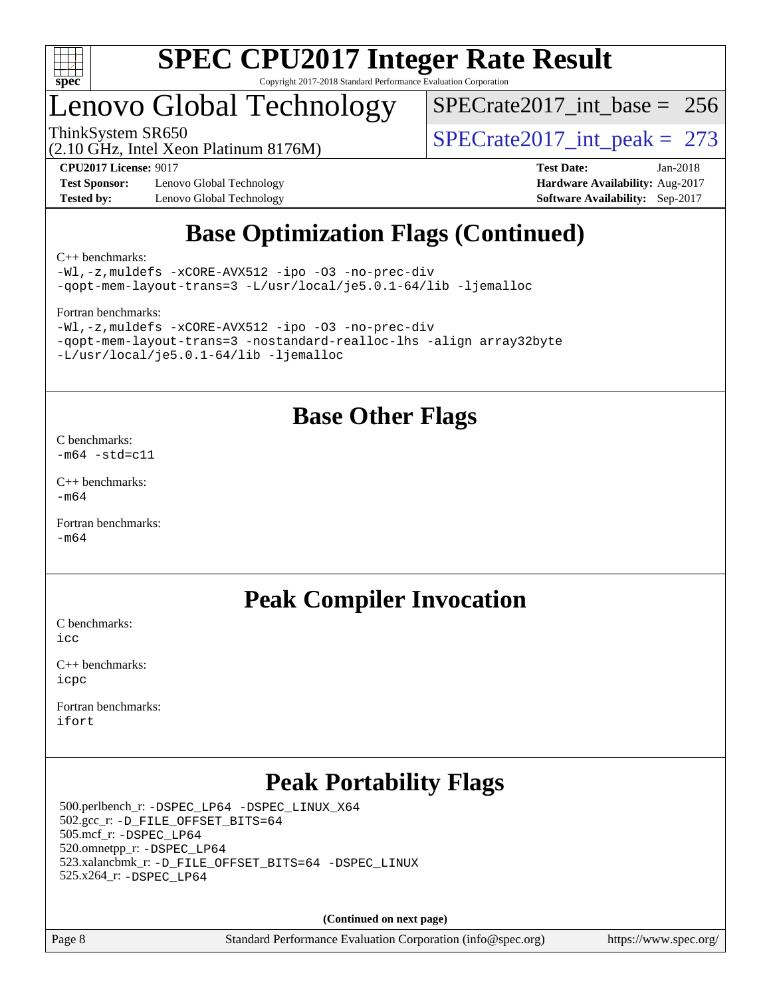

### enovo Global Technology

[SPECrate2017\\_int\\_base =](http://www.spec.org/auto/cpu2017/Docs/result-fields.html#SPECrate2017intbase) 256

(2.10 GHz, Intel Xeon Platinum 8176M)

ThinkSystem SR650<br>(2.10 GHz, Intel Xeon Platinum 8176M)  $SPECrate2017\_int\_peak = 273$ 

**[Test Sponsor:](http://www.spec.org/auto/cpu2017/Docs/result-fields.html#TestSponsor)** Lenovo Global Technology **[Hardware Availability:](http://www.spec.org/auto/cpu2017/Docs/result-fields.html#HardwareAvailability)** Aug-2017 **[Tested by:](http://www.spec.org/auto/cpu2017/Docs/result-fields.html#Testedby)** Lenovo Global Technology **[Software Availability:](http://www.spec.org/auto/cpu2017/Docs/result-fields.html#SoftwareAvailability)** Sep-2017

**[CPU2017 License:](http://www.spec.org/auto/cpu2017/Docs/result-fields.html#CPU2017License)** 9017 **[Test Date:](http://www.spec.org/auto/cpu2017/Docs/result-fields.html#TestDate)** Jan-2018

### **[Base Optimization Flags \(Continued\)](http://www.spec.org/auto/cpu2017/Docs/result-fields.html#BaseOptimizationFlags)**

[C++ benchmarks:](http://www.spec.org/auto/cpu2017/Docs/result-fields.html#CXXbenchmarks)

[-Wl,-z,muldefs](http://www.spec.org/cpu2017/results/res2018q1/cpu2017-20180205-03172.flags.html#user_CXXbase_link_force_multiple1_b4cbdb97b34bdee9ceefcfe54f4c8ea74255f0b02a4b23e853cdb0e18eb4525ac79b5a88067c842dd0ee6996c24547a27a4b99331201badda8798ef8a743f577) [-xCORE-AVX512](http://www.spec.org/cpu2017/results/res2018q1/cpu2017-20180205-03172.flags.html#user_CXXbase_f-xCORE-AVX512) [-ipo](http://www.spec.org/cpu2017/results/res2018q1/cpu2017-20180205-03172.flags.html#user_CXXbase_f-ipo) [-O3](http://www.spec.org/cpu2017/results/res2018q1/cpu2017-20180205-03172.flags.html#user_CXXbase_f-O3) [-no-prec-div](http://www.spec.org/cpu2017/results/res2018q1/cpu2017-20180205-03172.flags.html#user_CXXbase_f-no-prec-div) [-qopt-mem-layout-trans=3](http://www.spec.org/cpu2017/results/res2018q1/cpu2017-20180205-03172.flags.html#user_CXXbase_f-qopt-mem-layout-trans_de80db37974c74b1f0e20d883f0b675c88c3b01e9d123adea9b28688d64333345fb62bc4a798493513fdb68f60282f9a726aa07f478b2f7113531aecce732043) [-L/usr/local/je5.0.1-64/lib](http://www.spec.org/cpu2017/results/res2018q1/cpu2017-20180205-03172.flags.html#user_CXXbase_jemalloc_link_path64_4b10a636b7bce113509b17f3bd0d6226c5fb2346b9178c2d0232c14f04ab830f976640479e5c33dc2bcbbdad86ecfb6634cbbd4418746f06f368b512fced5394) [-ljemalloc](http://www.spec.org/cpu2017/results/res2018q1/cpu2017-20180205-03172.flags.html#user_CXXbase_jemalloc_link_lib_d1249b907c500fa1c0672f44f562e3d0f79738ae9e3c4a9c376d49f265a04b9c99b167ecedbf6711b3085be911c67ff61f150a17b3472be731631ba4d0471706)

[Fortran benchmarks](http://www.spec.org/auto/cpu2017/Docs/result-fields.html#Fortranbenchmarks):

```
-Wl,-z,muldefs -xCORE-AVX512 -ipo -O3 -no-prec-div
-qopt-mem-layout-trans=3 -nostandard-realloc-lhs -align array32byte
-L/usr/local/je5.0.1-64/lib -ljemalloc
```
### **[Base Other Flags](http://www.spec.org/auto/cpu2017/Docs/result-fields.html#BaseOtherFlags)**

[C benchmarks](http://www.spec.org/auto/cpu2017/Docs/result-fields.html#Cbenchmarks):  $-m64 - std= c11$  $-m64 - std= c11$ 

[C++ benchmarks:](http://www.spec.org/auto/cpu2017/Docs/result-fields.html#CXXbenchmarks)  $-m64$ 

[Fortran benchmarks](http://www.spec.org/auto/cpu2017/Docs/result-fields.html#Fortranbenchmarks): [-m64](http://www.spec.org/cpu2017/results/res2018q1/cpu2017-20180205-03172.flags.html#user_FCbase_intel_intel64_18.0_af43caccfc8ded86e7699f2159af6efc7655f51387b94da716254467f3c01020a5059329e2569e4053f409e7c9202a7efc638f7a6d1ffb3f52dea4a3e31d82ab)

### **[Peak Compiler Invocation](http://www.spec.org/auto/cpu2017/Docs/result-fields.html#PeakCompilerInvocation)**

[C benchmarks](http://www.spec.org/auto/cpu2017/Docs/result-fields.html#Cbenchmarks):  $i$ cc

[C++ benchmarks:](http://www.spec.org/auto/cpu2017/Docs/result-fields.html#CXXbenchmarks) [icpc](http://www.spec.org/cpu2017/results/res2018q1/cpu2017-20180205-03172.flags.html#user_CXXpeak_intel_icpc_18.0_c510b6838c7f56d33e37e94d029a35b4a7bccf4766a728ee175e80a419847e808290a9b78be685c44ab727ea267ec2f070ec5dc83b407c0218cded6866a35d07)

[Fortran benchmarks](http://www.spec.org/auto/cpu2017/Docs/result-fields.html#Fortranbenchmarks): [ifort](http://www.spec.org/cpu2017/results/res2018q1/cpu2017-20180205-03172.flags.html#user_FCpeak_intel_ifort_18.0_8111460550e3ca792625aed983ce982f94888b8b503583aa7ba2b8303487b4d8a21a13e7191a45c5fd58ff318f48f9492884d4413fa793fd88dd292cad7027ca)

### **[Peak Portability Flags](http://www.spec.org/auto/cpu2017/Docs/result-fields.html#PeakPortabilityFlags)**

 500.perlbench\_r: [-DSPEC\\_LP64](http://www.spec.org/cpu2017/results/res2018q1/cpu2017-20180205-03172.flags.html#b500.perlbench_r_peakPORTABILITY_DSPEC_LP64) [-DSPEC\\_LINUX\\_X64](http://www.spec.org/cpu2017/results/res2018q1/cpu2017-20180205-03172.flags.html#b500.perlbench_r_peakCPORTABILITY_DSPEC_LINUX_X64) 502.gcc\_r: [-D\\_FILE\\_OFFSET\\_BITS=64](http://www.spec.org/cpu2017/results/res2018q1/cpu2017-20180205-03172.flags.html#user_peakPORTABILITY502_gcc_r_file_offset_bits_64_5ae949a99b284ddf4e95728d47cb0843d81b2eb0e18bdfe74bbf0f61d0b064f4bda2f10ea5eb90e1dcab0e84dbc592acfc5018bc955c18609f94ddb8d550002c) 505.mcf\_r: [-DSPEC\\_LP64](http://www.spec.org/cpu2017/results/res2018q1/cpu2017-20180205-03172.flags.html#suite_peakPORTABILITY505_mcf_r_DSPEC_LP64) 520.omnetpp\_r: [-DSPEC\\_LP64](http://www.spec.org/cpu2017/results/res2018q1/cpu2017-20180205-03172.flags.html#suite_peakPORTABILITY520_omnetpp_r_DSPEC_LP64) 523.xalancbmk\_r: [-D\\_FILE\\_OFFSET\\_BITS=64](http://www.spec.org/cpu2017/results/res2018q1/cpu2017-20180205-03172.flags.html#user_peakPORTABILITY523_xalancbmk_r_file_offset_bits_64_5ae949a99b284ddf4e95728d47cb0843d81b2eb0e18bdfe74bbf0f61d0b064f4bda2f10ea5eb90e1dcab0e84dbc592acfc5018bc955c18609f94ddb8d550002c) [-DSPEC\\_LINUX](http://www.spec.org/cpu2017/results/res2018q1/cpu2017-20180205-03172.flags.html#b523.xalancbmk_r_peakCXXPORTABILITY_DSPEC_LINUX) 525.x264\_r: [-DSPEC\\_LP64](http://www.spec.org/cpu2017/results/res2018q1/cpu2017-20180205-03172.flags.html#suite_peakPORTABILITY525_x264_r_DSPEC_LP64)

**(Continued on next page)**

Page 8 Standard Performance Evaluation Corporation [\(info@spec.org\)](mailto:info@spec.org) <https://www.spec.org/>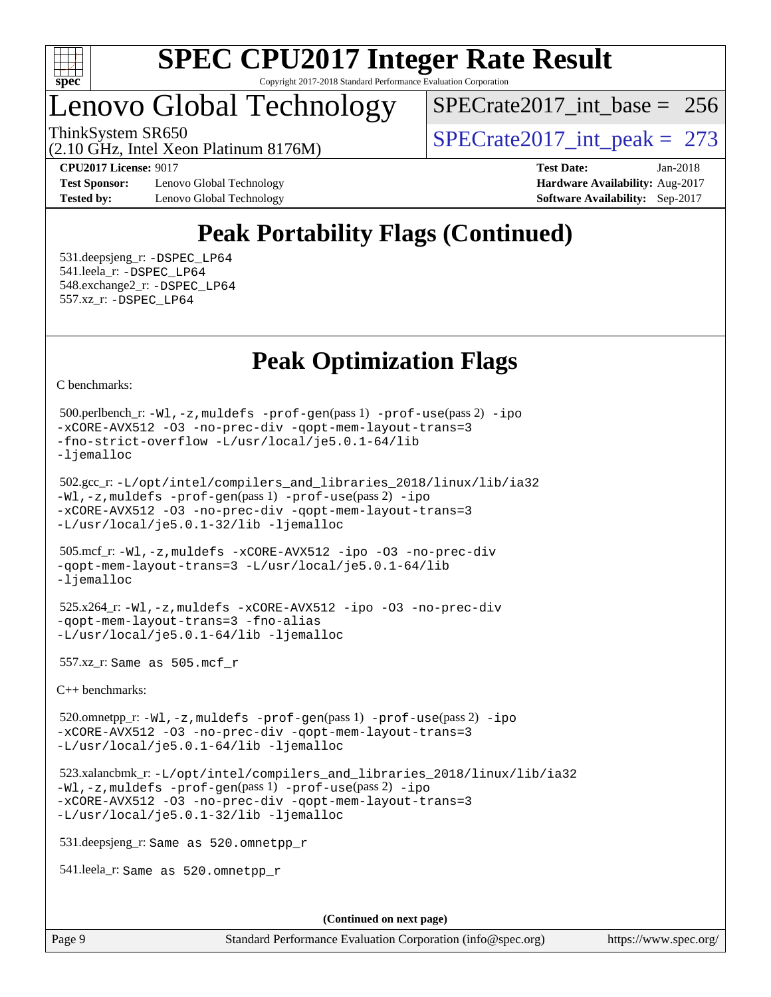

### Lenovo Global Technology

[SPECrate2017\\_int\\_base =](http://www.spec.org/auto/cpu2017/Docs/result-fields.html#SPECrate2017intbase) 256

(2.10 GHz, Intel Xeon Platinum 8176M)

ThinkSystem SR650<br>  $SPECTate2017$ \_int\_peak = 273

**[Test Sponsor:](http://www.spec.org/auto/cpu2017/Docs/result-fields.html#TestSponsor)** Lenovo Global Technology **[Hardware Availability:](http://www.spec.org/auto/cpu2017/Docs/result-fields.html#HardwareAvailability)** Aug-2017 **[Tested by:](http://www.spec.org/auto/cpu2017/Docs/result-fields.html#Testedby)** Lenovo Global Technology **[Software Availability:](http://www.spec.org/auto/cpu2017/Docs/result-fields.html#SoftwareAvailability)** Sep-2017

**[CPU2017 License:](http://www.spec.org/auto/cpu2017/Docs/result-fields.html#CPU2017License)** 9017 **[Test Date:](http://www.spec.org/auto/cpu2017/Docs/result-fields.html#TestDate)** Jan-2018

### **[Peak Portability Flags \(Continued\)](http://www.spec.org/auto/cpu2017/Docs/result-fields.html#PeakPortabilityFlags)**

 531.deepsjeng\_r: [-DSPEC\\_LP64](http://www.spec.org/cpu2017/results/res2018q1/cpu2017-20180205-03172.flags.html#suite_peakPORTABILITY531_deepsjeng_r_DSPEC_LP64) 541.leela\_r: [-DSPEC\\_LP64](http://www.spec.org/cpu2017/results/res2018q1/cpu2017-20180205-03172.flags.html#suite_peakPORTABILITY541_leela_r_DSPEC_LP64) 548.exchange2\_r: [-DSPEC\\_LP64](http://www.spec.org/cpu2017/results/res2018q1/cpu2017-20180205-03172.flags.html#suite_peakPORTABILITY548_exchange2_r_DSPEC_LP64) 557.xz\_r: [-DSPEC\\_LP64](http://www.spec.org/cpu2017/results/res2018q1/cpu2017-20180205-03172.flags.html#suite_peakPORTABILITY557_xz_r_DSPEC_LP64)

### **[Peak Optimization Flags](http://www.spec.org/auto/cpu2017/Docs/result-fields.html#PeakOptimizationFlags)**

[C benchmarks](http://www.spec.org/auto/cpu2017/Docs/result-fields.html#Cbenchmarks):

```
 500.perlbench_r: -Wl,-z,muldefs -prof-gen(pass 1) -prof-use(pass 2) -ipo
-xCORE-AVX512 -O3 -no-prec-div -qopt-mem-layout-trans=3
-fno-strict-overflow -L/usr/local/je5.0.1-64/lib
-ljemalloc
```

```
 502.gcc_r: -L/opt/intel/compilers_and_libraries_2018/linux/lib/ia32
-Wl,-z,muldefs -prof-gen(pass 1) -prof-use(pass 2) -ipo
-xCORE-AVX512 -O3 -no-prec-div -qopt-mem-layout-trans=3
-L/usr/local/je5.0.1-32/lib -ljemalloc
```

```
 505.mcf_r: -Wl,-z,muldefs -xCORE-AVX512 -ipo -O3 -no-prec-div
-qopt-mem-layout-trans=3 -L/usr/local/je5.0.1-64/lib
-ljemalloc
```

```
 525.x264_r: -Wl,-z,muldefs -xCORE-AVX512 -ipo -O3 -no-prec-div
-qopt-mem-layout-trans=3 -fno-alias
-L/usr/local/je5.0.1-64/lib -ljemalloc
```
557.xz\_r: Same as 505.mcf\_r

[C++ benchmarks:](http://www.spec.org/auto/cpu2017/Docs/result-fields.html#CXXbenchmarks)

 520.omnetpp\_r: [-Wl,-z,muldefs](http://www.spec.org/cpu2017/results/res2018q1/cpu2017-20180205-03172.flags.html#user_peakEXTRA_LDFLAGS520_omnetpp_r_link_force_multiple1_b4cbdb97b34bdee9ceefcfe54f4c8ea74255f0b02a4b23e853cdb0e18eb4525ac79b5a88067c842dd0ee6996c24547a27a4b99331201badda8798ef8a743f577) [-prof-gen](http://www.spec.org/cpu2017/results/res2018q1/cpu2017-20180205-03172.flags.html#user_peakPASS1_CXXFLAGSPASS1_LDFLAGS520_omnetpp_r_prof_gen_5aa4926d6013ddb2a31985c654b3eb18169fc0c6952a63635c234f711e6e63dd76e94ad52365559451ec499a2cdb89e4dc58ba4c67ef54ca681ffbe1461d6b36)(pass 1) [-prof-use](http://www.spec.org/cpu2017/results/res2018q1/cpu2017-20180205-03172.flags.html#user_peakPASS2_CXXFLAGSPASS2_LDFLAGS520_omnetpp_r_prof_use_1a21ceae95f36a2b53c25747139a6c16ca95bd9def2a207b4f0849963b97e94f5260e30a0c64f4bb623698870e679ca08317ef8150905d41bd88c6f78df73f19)(pass 2) [-ipo](http://www.spec.org/cpu2017/results/res2018q1/cpu2017-20180205-03172.flags.html#user_peakPASS1_CXXOPTIMIZEPASS2_CXXOPTIMIZE520_omnetpp_r_f-ipo) [-xCORE-AVX512](http://www.spec.org/cpu2017/results/res2018q1/cpu2017-20180205-03172.flags.html#user_peakPASS2_CXXOPTIMIZE520_omnetpp_r_f-xCORE-AVX512) [-O3](http://www.spec.org/cpu2017/results/res2018q1/cpu2017-20180205-03172.flags.html#user_peakPASS1_CXXOPTIMIZEPASS2_CXXOPTIMIZE520_omnetpp_r_f-O3) [-no-prec-div](http://www.spec.org/cpu2017/results/res2018q1/cpu2017-20180205-03172.flags.html#user_peakPASS1_CXXOPTIMIZEPASS2_CXXOPTIMIZE520_omnetpp_r_f-no-prec-div) [-qopt-mem-layout-trans=3](http://www.spec.org/cpu2017/results/res2018q1/cpu2017-20180205-03172.flags.html#user_peakPASS1_CXXOPTIMIZEPASS2_CXXOPTIMIZE520_omnetpp_r_f-qopt-mem-layout-trans_de80db37974c74b1f0e20d883f0b675c88c3b01e9d123adea9b28688d64333345fb62bc4a798493513fdb68f60282f9a726aa07f478b2f7113531aecce732043) [-L/usr/local/je5.0.1-64/lib](http://www.spec.org/cpu2017/results/res2018q1/cpu2017-20180205-03172.flags.html#user_peakEXTRA_LIBS520_omnetpp_r_jemalloc_link_path64_4b10a636b7bce113509b17f3bd0d6226c5fb2346b9178c2d0232c14f04ab830f976640479e5c33dc2bcbbdad86ecfb6634cbbd4418746f06f368b512fced5394) [-ljemalloc](http://www.spec.org/cpu2017/results/res2018q1/cpu2017-20180205-03172.flags.html#user_peakEXTRA_LIBS520_omnetpp_r_jemalloc_link_lib_d1249b907c500fa1c0672f44f562e3d0f79738ae9e3c4a9c376d49f265a04b9c99b167ecedbf6711b3085be911c67ff61f150a17b3472be731631ba4d0471706)

```
 523.xalancbmk_r: -L/opt/intel/compilers_and_libraries_2018/linux/lib/ia32
-Wl,-z,muldefs -prof-gen(pass 1) -prof-use(pass 2) -ipo
-xCORE-AVX512 -O3 -no-prec-div -qopt-mem-layout-trans=3
-L/usr/local/je5.0.1-32/lib -ljemalloc
```
531.deepsjeng\_r: Same as 520.omnetpp\_r

541.leela\_r: Same as 520.omnetpp\_r

**(Continued on next page)**